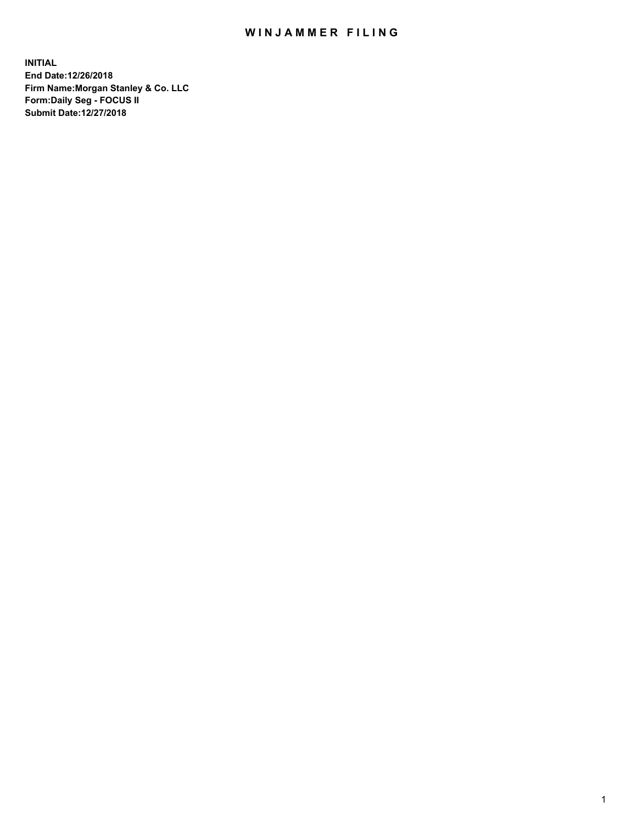## WIN JAMMER FILING

**INITIAL End Date:12/26/2018 Firm Name:Morgan Stanley & Co. LLC Form:Daily Seg - FOCUS II Submit Date:12/27/2018**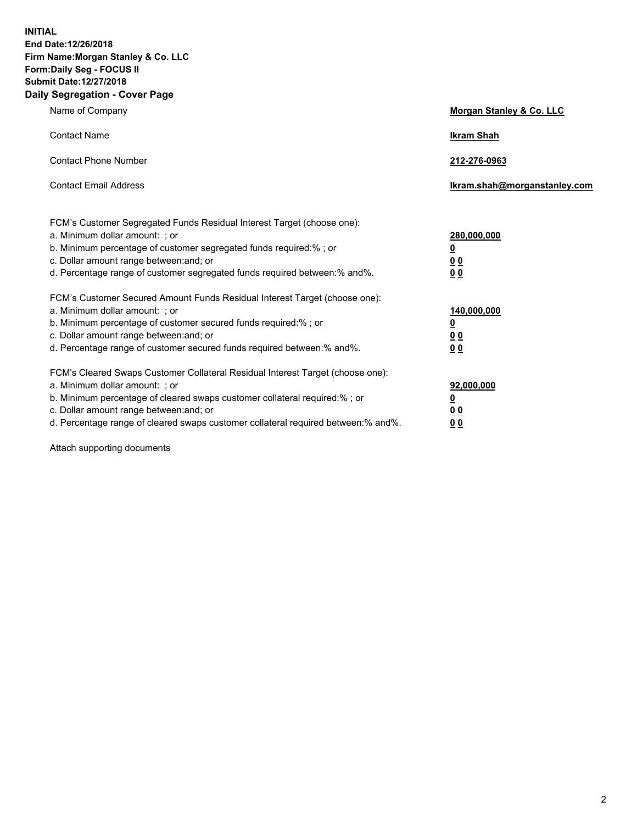**INITIAL End Date:12/26/2018 Firm Name:Morgan Stanley & Co. LLC Form:Daily Seg - FOCUS II Submit Date:12/27/2018 Daily Segregation - Cover Page**

| Name of Company                                                                                                                                                                                                                                                                                                                | Morgan Stanley & Co. LLC                               |
|--------------------------------------------------------------------------------------------------------------------------------------------------------------------------------------------------------------------------------------------------------------------------------------------------------------------------------|--------------------------------------------------------|
| <b>Contact Name</b>                                                                                                                                                                                                                                                                                                            | <b>Ikram Shah</b>                                      |
| <b>Contact Phone Number</b>                                                                                                                                                                                                                                                                                                    | 212-276-0963                                           |
| <b>Contact Email Address</b>                                                                                                                                                                                                                                                                                                   | lkram.shah@morganstanley.com                           |
| FCM's Customer Segregated Funds Residual Interest Target (choose one):<br>a. Minimum dollar amount: : or<br>b. Minimum percentage of customer segregated funds required:% ; or<br>c. Dollar amount range between: and; or<br>d. Percentage range of customer segregated funds required between:% and%.                         | 280,000,000<br><u>0</u><br>00<br>00                    |
| FCM's Customer Secured Amount Funds Residual Interest Target (choose one):<br>a. Minimum dollar amount: ; or<br>b. Minimum percentage of customer secured funds required:%; or<br>c. Dollar amount range between: and; or<br>d. Percentage range of customer secured funds required between:% and%.                            | 140,000,000<br><u>0</u><br><u>00</u><br>0 <sub>0</sub> |
| FCM's Cleared Swaps Customer Collateral Residual Interest Target (choose one):<br>a. Minimum dollar amount: ; or<br>b. Minimum percentage of cleared swaps customer collateral required:% ; or<br>c. Dollar amount range between: and; or<br>d. Percentage range of cleared swaps customer collateral required between:% and%. | 92,000,000<br><u>0</u><br><u>00</u><br>0 <sub>0</sub>  |

Attach supporting documents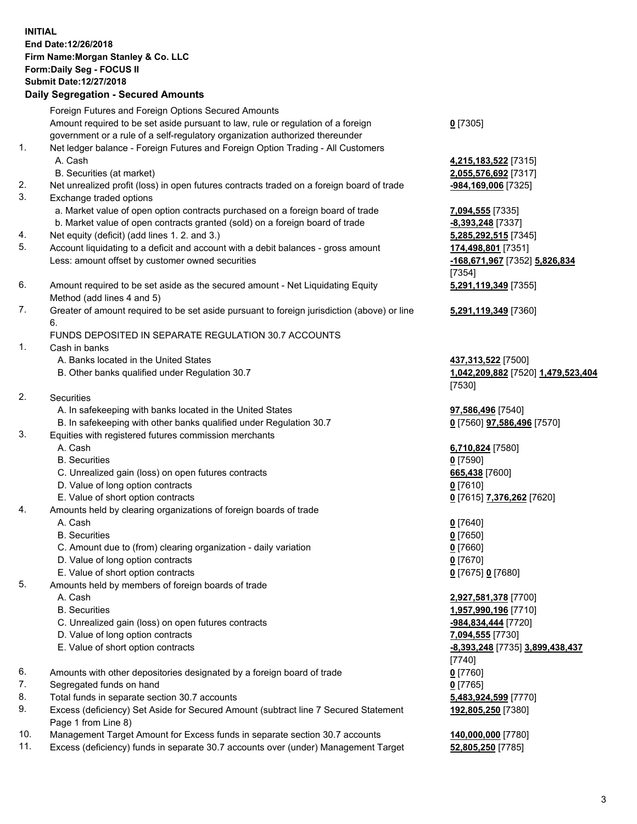## **INITIAL End Date:12/26/2018 Firm Name:Morgan Stanley & Co. LLC Form:Daily Seg - FOCUS II Submit Date:12/27/2018**

## **Daily Segregation - Secured Amounts**

Foreign Futures and Foreign Options Secured Amounts Amount required to be set aside pursuant to law, rule or regulation of a foreign government or a rule of a self-regulatory organization authorized thereunder

- 1. Net ledger balance Foreign Futures and Foreign Option Trading All Customers A. Cash **4,215,183,522** [7315]
	- B. Securities (at market) **2,055,576,692** [7317]
- 2. Net unrealized profit (loss) in open futures contracts traded on a foreign board of trade **-984,169,006** [7325]
- 3. Exchange traded options
	- a. Market value of open option contracts purchased on a foreign board of trade **7,094,555** [7335]
	- b. Market value of open contracts granted (sold) on a foreign board of trade **-8,393,248** [7337]
- 4. Net equity (deficit) (add lines 1. 2. and 3.) **5,285,292,515** [7345]
- 5. Account liquidating to a deficit and account with a debit balances gross amount **174,498,801** [7351] Less: amount offset by customer owned securities **-168,671,967** [7352] **5,826,834**
- 6. Amount required to be set aside as the secured amount Net Liquidating Equity Method (add lines 4 and 5)
- 7. Greater of amount required to be set aside pursuant to foreign jurisdiction (above) or line 6.

## FUNDS DEPOSITED IN SEPARATE REGULATION 30.7 ACCOUNTS

- 1. Cash in banks
	- A. Banks located in the United States **437,313,522** [7500]
	- B. Other banks qualified under Regulation 30.7 **1,042,209,882** [7520] **1,479,523,404**
- 2. Securities
	- A. In safekeeping with banks located in the United States **97,586,496** [7540]
	- B. In safekeeping with other banks qualified under Regulation 30.7 **0** [7560] **97,586,496** [7570]
- 3. Equities with registered futures commission merchants
	-
	- B. Securities **0** [7590]
	- C. Unrealized gain (loss) on open futures contracts **665,438** [7600]
	- D. Value of long option contracts **0** [7610]
- E. Value of short option contracts **0** [7615] **7,376,262** [7620]
- 4. Amounts held by clearing organizations of foreign boards of trade
	- A. Cash **0** [7640]
	- B. Securities **0** [7650]
	- C. Amount due to (from) clearing organization daily variation **0** [7660]
	- D. Value of long option contracts **0** [7670]
	- E. Value of short option contracts **0** [7675] **0** [7680]
- 5. Amounts held by members of foreign boards of trade
	-
	-
	- C. Unrealized gain (loss) on open futures contracts **-984,834,444** [7720]
	- D. Value of long option contracts **7,094,555** [7730]
	- E. Value of short option contracts **-8,393,248** [7735] **3,899,438,437**
- 6. Amounts with other depositories designated by a foreign board of trade **0** [7760]
- 7. Segregated funds on hand **0** [7765]
- 8. Total funds in separate section 30.7 accounts **5,483,924,599** [7770]
- 9. Excess (deficiency) Set Aside for Secured Amount (subtract line 7 Secured Statement Page 1 from Line 8)
- 10. Management Target Amount for Excess funds in separate section 30.7 accounts **140,000,000** [7780]
- 11. Excess (deficiency) funds in separate 30.7 accounts over (under) Management Target **52,805,250** [7785]

**0** [7305]

[7354] **5,291,119,349** [7355]

**5,291,119,349** [7360]

[7530]

A. Cash **6,710,824** [7580]

 A. Cash **2,927,581,378** [7700] B. Securities **1,957,990,196** [7710] [7740] **192,805,250** [7380]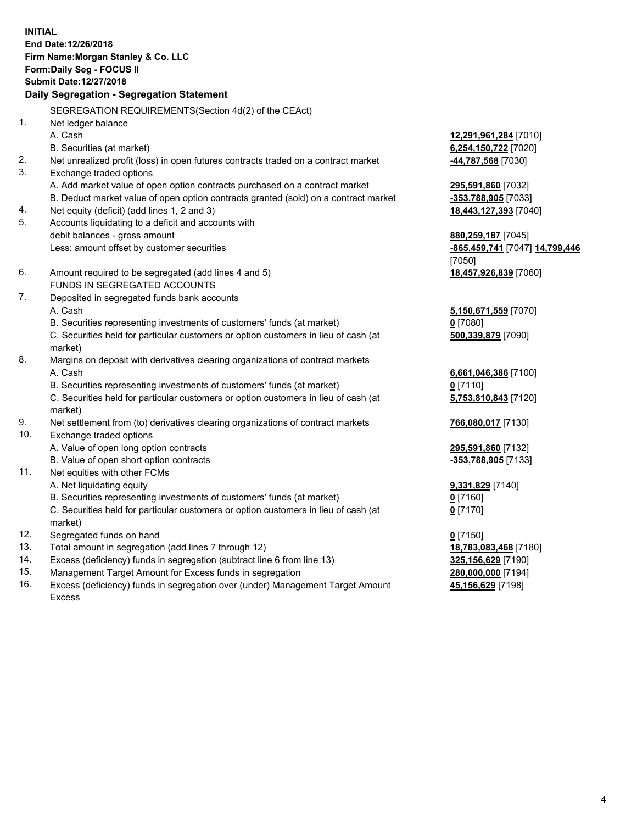**INITIAL End Date:12/26/2018 Firm Name:Morgan Stanley & Co. LLC Form:Daily Seg - FOCUS II Submit Date:12/27/2018 Daily Segregation - Segregation Statement** SEGREGATION REQUIREMENTS(Section 4d(2) of the CEAct) 1. Net ledger balance A. Cash **12,291,961,284** [7010] B. Securities (at market) **6,254,150,722** [7020] 2. Net unrealized profit (loss) in open futures contracts traded on a contract market **-44,787,568** [7030] 3. Exchange traded options A. Add market value of open option contracts purchased on a contract market **295,591,860** [7032] B. Deduct market value of open option contracts granted (sold) on a contract market **-353,788,905** [7033] 4. Net equity (deficit) (add lines 1, 2 and 3) **18,443,127,393** [7040] 5. Accounts liquidating to a deficit and accounts with debit balances - gross amount **880,259,187** [7045] Less: amount offset by customer securities **-865,459,741** [7047] **14,799,446** [7050] 6. Amount required to be segregated (add lines 4 and 5) **18,457,926,839** [7060] FUNDS IN SEGREGATED ACCOUNTS 7. Deposited in segregated funds bank accounts A. Cash **5,150,671,559** [7070] B. Securities representing investments of customers' funds (at market) **0** [7080] C. Securities held for particular customers or option customers in lieu of cash (at market) **500,339,879** [7090] 8. Margins on deposit with derivatives clearing organizations of contract markets A. Cash **6,661,046,386** [7100] B. Securities representing investments of customers' funds (at market) **0** [7110] C. Securities held for particular customers or option customers in lieu of cash (at market) **5,753,810,843** [7120] 9. Net settlement from (to) derivatives clearing organizations of contract markets **766,080,017** [7130] 10. Exchange traded options A. Value of open long option contracts **295,591,860** [7132] B. Value of open short option contracts **-353,788,905** [7133] 11. Net equities with other FCMs A. Net liquidating equity **9,331,829** [7140] B. Securities representing investments of customers' funds (at market) **0** [7160] C. Securities held for particular customers or option customers in lieu of cash (at market) **0** [7170] 12. Segregated funds on hand **0** [7150] 13. Total amount in segregation (add lines 7 through 12) **18,783,083,468** [7180] 14. Excess (deficiency) funds in segregation (subtract line 6 from line 13) **325,156,629** [7190]

- 15. Management Target Amount for Excess funds in segregation **280,000,000** [7194]
- 16. Excess (deficiency) funds in segregation over (under) Management Target Amount Excess

**45,156,629** [7198]